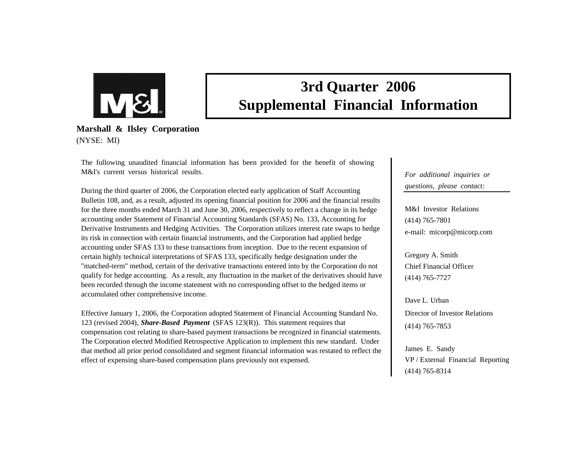

# **3rd Quarter 2006 Supplemental Financial Information**

**Marshall & Ilsley Corporation** (NYSE: MI)

The following unaudited financial information has been provided for the benefit of showing M&I's current versus historical results.

During the third quarter of 2006, the Corporation elected early application of Staff Accounting Bulletin 108, and, as a result, adjusted its opening financial position for 2006 and the financial results for the three months ended March 31 and June 30, 2006, respectively to reflect a change in its hedge accounting under Statement of Financial Accounting Standards (SFAS) No. 133, Accounting for Derivative Instruments and Hedging Activities. The Corporation utilizes interest rate swaps to hedge its risk in connection with certain financial instruments, and the Corporation had applied hedge accounting under SFAS 133 to these transactions from inception. Due to the recent expansion of certain highly technical interpretations of SFAS 133, specifically hedge designation under the "matched-term" method, certain of the derivative transactions entered into by the Corporation do not qualify for hedge accounting. As a result, any fluctuation in the market of the derivatives should have been recorded through the income statement with no corresponding offset to the hedged items or accumulated other comprehensive income.

Effective January 1, 2006, the Corporation adopted Statement of Financial Accounting Standard No. 123 (revised 2004), *Share-Based Payment* (SFAS 123(R)). This statement requires that compensation cost relating to share-based payment transactions be recognized in financial statements. The Corporation elected Modified Retrospective Application to implement this new standard. Under that method all prior period consolidated and segment financial information was restated to reflect the effect of expensing share-based compensation plans previously not expensed.

*For additional inquiries or questions, please contact:*

M&I Investor Relations(414) 765-7801 e-mail: micorp@micorp.com

Gregory A. Smith Chief Financial Officer(414) 765-7727

Dave L. UrbanDirector of Investor Relations(414) 765-7853

James E. Sandy VP / External Financial Reporting (414) 765-8314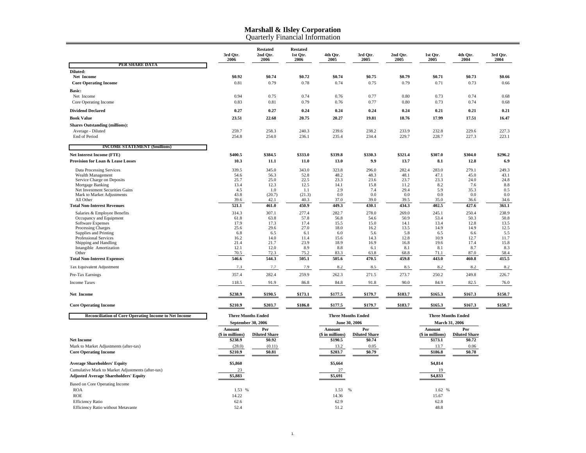Quarterly Financial Information

|                                                              | 3rd Qtr.<br>2006          | <b>Restated</b><br>2nd Qtr.<br>2006 | <b>Restated</b><br>1st Otr.<br>2006 | 4th Qtr.<br>2005          | 3rd Qtr.<br>2005     | 2nd Qtr.<br>2005 | 1st Qtr.<br>2005          | 4th Qtr.<br>2004     | 3rd Otr.<br>2004 |
|--------------------------------------------------------------|---------------------------|-------------------------------------|-------------------------------------|---------------------------|----------------------|------------------|---------------------------|----------------------|------------------|
| PER SHARE DATA                                               |                           |                                     |                                     |                           |                      |                  |                           |                      |                  |
| Diluted:                                                     |                           |                                     |                                     |                           |                      |                  |                           |                      |                  |
| Net Income<br><b>Core Operating Income</b>                   | \$0.92<br>0.81            | \$0.74<br>0.79                      | \$0.72<br>0.78                      | \$0.74<br>0.74            | \$0.75<br>0.75       | \$0.79<br>0.79   | \$0.71<br>0.71            | \$0.73<br>0.73       | \$0.66<br>0.66   |
|                                                              |                           |                                     |                                     |                           |                      |                  |                           |                      |                  |
| <b>Basic:</b><br>Net Income                                  | 0.94                      | 0.75                                | 0.74                                | 0.76                      | 0.77                 | 0.80             | 0.73                      | 0.74                 | 0.68             |
| Core Operating Income                                        | 0.83                      | 0.81                                | 0.79                                | 0.76                      | 0.77                 | 0.80             | 0.73                      | 0.74                 | 0.68             |
| <b>Dividend Declared</b>                                     | 0.27                      | 0.27                                | 0.24                                | 0.24                      | 0.24                 | 0.24             | 0.21                      | 0.21                 | 0.21             |
| <b>Book Value</b>                                            | 23.51                     | 22.68                               | 20.75                               | 20.27                     | 19.81                | 18.76            | 17.99                     | 17.51                | 16.47            |
| <b>Shares Outstanding (millions):</b>                        |                           |                                     |                                     |                           |                      |                  |                           |                      |                  |
| Average - Diluted                                            | 259.7                     | 258.3                               | 240.3                               | 239.6                     | 238.2                | 233.9            | 232.8                     | 229.6                | 227.3            |
| End of Period                                                | 254.8                     | 254.0                               | 236.1                               | 235.4                     | 234.4                | 229.7            | 228.7                     | 227.3                | 223.1            |
| <b>INCOME STATEMENT (\$millions)</b>                         |                           |                                     |                                     |                           |                      |                  |                           |                      |                  |
| <b>Net Interest Income (FTE)</b>                             | \$400.5                   | \$384.5                             | \$333.0                             | \$339.8                   | \$330.3              | \$321.4          | \$307.0                   | \$304.0              | \$296.2          |
| Provision for Loan & Lease Losses                            | 10.3                      | 11.1                                | 11.0                                | 13.0                      | 9.9                  | 13.7             | 8.1                       | 12.8                 | 6.9              |
| Data Processing Services                                     | 339.5                     | 345.0                               | 343.0                               | 323.8                     | 296.0                | 282.4            | 283.0                     | 279.1                | 249.3            |
| Wealth Management                                            | 54.6                      | 56.3                                | 52.8                                | 48.2                      | 48.3                 | 48.1             | 47.1                      | 45.0                 | 43.1             |
| Service Charge on Deposits                                   | 25.7                      | 25.0                                | 22.5                                | 23.3                      | 23.6                 | 23.7             | 23.3                      | 24.0                 | 24.8             |
| Mortgage Banking<br>Net Investment Securities Gains          | 13.4<br>4.5               | 12.3<br>1.0                         | 12.5<br>1.1                         | 14.1<br>2.9               | 15.8<br>7.4          | 11.2<br>29.4     | 8.2<br>5.9                | 7.6<br>35.3          | 8.8<br>0.5       |
| Mark to Market Adjustments                                   | 43.8                      | (20.7)                              | (21.3)                              | 0.0                       | 0.0                  | 0.0              | 0.0                       | 0.0                  | 0.0              |
| All Other                                                    | 39.6                      | 42.1                                | 40.3                                | 37.0                      | 39.0                 | 39.5             | 35.0                      | 36.6                 | 34.6             |
| <b>Total Non-Interest Revenues</b>                           | 521.1                     | 461.0                               | 450.9                               | 449.3                     | 430.1                | 434.3            | 402.5                     | 427.6                | 361.1            |
| Salaries & Employee Benefits                                 | 314.3                     | 307.1                               | 277.4                               | 282.7                     | 278.0                | 269.0            | 245.1                     | 250.4                | 238.9            |
| Occupancy and Equipment                                      | 61.8                      | 63.8                                | 57.8                                | 56.8                      | 54.6                 | 50.9             | 53.4                      | 50.3                 | 50.8             |
| <b>Software Expenses</b><br><b>Processing Charges</b>        | 17.9<br>25.6              | 17.3<br>29.6                        | 17.4<br>27.0                        | 15.5<br>18.0              | 15.0<br>16.2         | 14.1<br>13.5     | 13.4<br>14.9              | 12.8<br>14.9         | 13.5<br>12.5     |
| Supplies and Printing                                        | 6.8                       | 6.5                                 | 6.1                                 | 6.0                       | 5.6                  | 5.8              | 6.5                       | 6.6                  | 5.5              |
| <b>Professional Services</b>                                 | 16.2                      | 14.0                                | 11.4                                | 15.6                      | 14.3                 | 12.8             | 10.9                      | 12.7                 | 11.7             |
| Shipping and Handling                                        | 21.4                      | 21.7                                | 23.9                                | 18.9                      | 16.9                 | 16.8             | 19.6                      | 17.4                 | 15.8             |
| Intangible Amortization                                      | 12.1                      | 12.0                                | 8.9                                 | 8.8                       | 6.1                  | 8.1              | 8.1                       | 8.7                  | 8.3              |
| Other                                                        | 70.5<br>546.6             | 72.3<br>544.3                       | 75.2<br>505.1                       | 83.3<br>505.6             | 63.8<br>470.5        | 68.8             | 71.1<br>443.0             | 87.0<br>460.8        | 58.4<br>415.5    |
| <b>Total Non-Interest Expenses</b>                           |                           |                                     |                                     |                           |                      | 459.8            |                           |                      |                  |
| Tax Equivalent Adjustment                                    | 7.3                       | 7.7                                 | 7.9                                 | 8.2                       | 8.5                  | 8.5              | 8.2                       | 8.2                  | 8.2              |
| Pre-Tax Earnings                                             | 357.4                     | 282.4                               | 259.9                               | 262.3                     | 271.5                | 273.7            | 250.2                     | 249.8                | 226.7            |
| <b>Income Taxes</b>                                          | 118.5                     | 91.9                                | 86.8                                | 84.8                      | 91.8                 | 90.0             | 84.9                      | 82.5                 | 76.0             |
| <b>Net Income</b>                                            | \$238.9                   | \$190.5                             | \$173.1                             | \$177.5                   | \$179.7              | \$183.7          | \$165.3                   | \$167.3              | \$150.7          |
| <b>Core Operating Income</b>                                 | \$210.9                   | \$203.7                             | \$186.8                             | \$177.5                   | \$179.7              | \$183.7          | \$165.3                   | \$167.3              | \$150.7          |
| <b>Reconciliation of Core Operating Income to Net Income</b> | <b>Three Months Ended</b> |                                     |                                     | <b>Three Months Ended</b> |                      |                  | <b>Three Months Ended</b> |                      |                  |
|                                                              | September 30, 2006        |                                     |                                     | June 30, 2006             |                      |                  | March 31, 2006            |                      |                  |
|                                                              | Amount                    | Per                                 |                                     | Amount                    | Per                  |                  | Amount                    | Per                  |                  |
|                                                              | (\$ in millions)          | <b>Diluted Share</b>                |                                     | (\$ in millions)          | <b>Diluted Share</b> |                  | (\$ in millions)          | <b>Diluted Share</b> |                  |
| <b>Net Income</b>                                            | \$238.9                   | \$0.92                              |                                     | \$190.5                   | \$0.74               |                  | \$173.1                   | \$0.72               |                  |
| Mark to Market Adjustments (after-tax)                       | (28.0)                    | (0.11)                              |                                     | 13.2                      | 0.05                 |                  | 13.7                      | 0.06                 |                  |
| <b>Core Operating Income</b>                                 | \$210.9                   | \$0.81                              |                                     | \$203.7                   | \$0.79               |                  | \$186.8                   | \$0.78               |                  |
| <b>Average Shareholders' Equity</b>                          | \$5,860                   |                                     |                                     | \$5,664                   |                      |                  | \$4,814                   |                      |                  |
| Cumulative Mark to Market Adjustments (after-tax)            | 23                        |                                     |                                     | 27                        |                      |                  | 19                        |                      |                  |
| <b>Adjusted Average Shareholders' Equity</b>                 | \$5,883                   |                                     |                                     | \$5,691                   |                      |                  | \$4,833                   |                      |                  |
| Based on Core Operating Income                               |                           |                                     |                                     |                           |                      |                  |                           |                      |                  |
| <b>ROA</b>                                                   | 1.53 %                    |                                     |                                     | 1.53<br>%                 |                      |                  | 1.62 %                    |                      |                  |
| <b>ROE</b>                                                   | 14.22                     |                                     |                                     | 14.36                     |                      |                  | 15.67                     |                      |                  |
| <b>Efficiency Ratio</b>                                      | 62.6                      |                                     |                                     | 62.9                      |                      |                  | 62.8                      |                      |                  |
| <b>Efficiency Ratio without Metavante</b>                    | 52.4                      |                                     |                                     | 51.2                      |                      |                  | 48.8                      |                      |                  |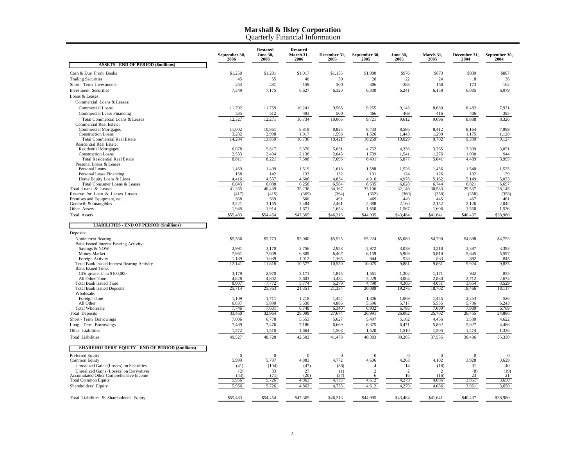Quarterly Financial Information

|                                                                                    | September 30,<br>2006 | <b>Restated</b><br><b>June 30,</b><br>2006 | <b>Restated</b><br>March 31,<br>2006 | December 31,<br>2005 | September 30,<br>2005 | <b>June 30,</b><br>2005 | March 31,<br>2005 | December 31,<br>2004 | September 30,<br>2004 |
|------------------------------------------------------------------------------------|-----------------------|--------------------------------------------|--------------------------------------|----------------------|-----------------------|-------------------------|-------------------|----------------------|-----------------------|
| <b>ASSETS - END OF PERIOD (\$millions)</b>                                         |                       |                                            |                                      |                      |                       |                         |                   |                      |                       |
| Cash & Due From Banks                                                              | \$1,250               | \$1,281                                    | \$1,017                              | \$1,155              | \$1,080               | \$976                   | \$873             | \$839                | \$887                 |
| <b>Trading Securities</b>                                                          | 45                    | 55                                         | 40                                   | 30                   | 28                    | 22                      | 24                | 18                   | 36                    |
| Short - Term Investments                                                           | 254                   | 281                                        | 159                                  | 300                  | 306                   | 283                     | 158               | 173                  | 162                   |
| <b>Investment Securities</b>                                                       | 7,349                 | 7,175                                      | 6,627                                | 6,320                | 6,330                 | 6,241                   | 6,158             | 6,085                | 6,079                 |
| Loans & Leases:                                                                    |                       |                                            |                                      |                      |                       |                         |                   |                      |                       |
| Commercial Loans & Leases:                                                         |                       |                                            |                                      |                      |                       |                         |                   |                      |                       |
| Commercial Loans                                                                   | 11,792                | 11,759                                     | 10,241                               | 9,566                | 9,255                 | 9,143                   | 8,680             | 8,482                | 7,931                 |
| Commercial Lease Financing                                                         | 535                   | 512                                        | 493                                  | 500                  | 466                   | 469                     | 416               | 406                  | 395                   |
| Total Commercial Loans & Leases                                                    | 12,327                | 12,271                                     | 10,734                               | 10,066               | 9,721                 | 9,612                   | 9,096             | 8,888                | 8,326                 |
| Commercial Real Estate:                                                            |                       |                                            |                                      |                      |                       |                         |                   |                      |                       |
| <b>Commercial Mortgages</b><br><b>Construction Loans</b>                           | 11,002<br>3,282       | 10,861<br>2,998                            | 8,819<br>1,917                       | 8,825<br>1,596       | 8,733<br>1,526        | 8,586<br>1,443          | 8,412<br>1,290    | 8,164<br>1,175       | 7,999<br>1,128        |
| <b>Total Commercial Real Estate</b>                                                | 14,284                | 13,859                                     | 10,736                               | 10,421               | 10,259                | 10,029                  | 9,702             | 9,339                | 9,127                 |
| Residential Real Estate:                                                           |                       |                                            |                                      |                      |                       |                         |                   |                      |                       |
| <b>Residential Mortgages</b>                                                       | 6,078                 | 5,817                                      | 5,370                                | 5,051                | 4,752                 | 4,336                   | 3,765             | 3,399                | 3,051                 |
| <b>Construction Loans</b>                                                          | 2,533                 | 2,404                                      | 2,138                                | 2,045                | 1,739                 | 1,541                   | 1,276             | 1,090                | 944                   |
| <b>Total Residential Real Estate</b><br>Personal Loans & Leases:                   | 8,611                 | 8,221                                      | 7,508                                | 7,096                | 6,491                 | 5,877                   | 5,041             | 4,489                | 3,995                 |
| Personal Loans                                                                     | 1,469                 | 1,409                                      | 1,519                                | 1,618                | 1,588                 | 1,526                   | 1,456             | 1,540                | 1,525                 |
| Personal Lease Financing                                                           | 158                   | 142                                        | 133                                  | 132                  | 131                   | 124                     | 126               | 132                  | 139                   |
| Home Equity Loans & Lines                                                          | 4,416                 | 4,537                                      | 4,606                                | 4,834                | 4,916                 | 4,978                   | 5,162             | 5,149                | 5,033                 |
| Total Consumer Loans & Leases                                                      | 6,043                 | 6,088                                      | 6,258                                | 6,584                | 6,635                 | 6,628                   | 6,744             | 6,821                | 6,697                 |
| Total Loans & Leases                                                               | 41,265                | 40,439                                     | 35,236                               | 34,167               | 33,106                | 32,146                  | 30,583            | 29,537               | 28,145                |
| Reserve for Loan & Leases Losses<br>Premises and Equipment, net                    | (417)                 | (415)<br>569                               | (369)<br>500                         | (364)<br>491         | (362)<br>469          | (360)<br>449            | (358)<br>445      | (358)<br>467         | (358)<br>461          |
| Goodwill & Intangibles                                                             | 568<br>3,221          | 3,155                                      | 2,484                                | 2,461                | 2,388                 | 2,160                   | 2,152             | 2,126                | 2,042                 |
| Other Assets                                                                       | 1,948                 | 1,914                                      | 1,671                                | 1,653                | 1,650                 | 1,567                   | 1,606             | 1,550                | 1,526                 |
| <b>Total Assets</b>                                                                | \$55,483              | \$54,454                                   | \$47,365                             | \$46,213             | \$44,995              | \$43,484                | \$41,641          | \$40,437             | \$38,980              |
|                                                                                    |                       |                                            |                                      |                      |                       |                         |                   |                      |                       |
| <b>LIABILITIES - END OF PERIOD (\$millions)</b>                                    |                       |                                            |                                      |                      |                       |                         |                   |                      |                       |
| Deposits:                                                                          |                       |                                            |                                      |                      |                       |                         |                   |                      |                       |
| Noninterest Bearing<br>Bank Issued Interest Bearing Activity:                      | \$5,566               | \$5,773                                    | \$5,000                              | \$5,525              | \$5,224               | \$5,089                 | \$4,790           | \$4,888              | \$4,753               |
| Savings & NOW                                                                      | 2,991                 | 3,170                                      | 2,756                                | 2,958                | 2,972                 | 3,039                   | 3,218             | 3,387                | 3,393                 |
| Money Market                                                                       | 7,961                 | 7,609                                      | 6,809                                | 6,407                | 6,159                 | 5,909                   | 5,810             | 5,645                | 5,597                 |
| Foreign Activity                                                                   | 1,189                 | 1,039                                      | 1,012                                | 1,165                | 944                   | 933                     | 833               | 892                  | 845                   |
| <b>Total Bank Issued Interest Bearing Activity</b>                                 | 12,141                | 11,818                                     | 10,577                               | 10,530               | 10,075                | 9,881                   | 9,861             | 9,924                | 9,835                 |
| <b>Bank Issued Time:</b>                                                           |                       |                                            |                                      |                      |                       |                         |                   |                      |                       |
| CDs greater than \$100,000<br>All Other Time                                       | 3,179<br>4,828        | 2,970<br>4,802                             | 2,171<br>3,603                       | 1,845<br>3,434       | 1,561<br>3,229        | 1,302<br>3,004          | 1,171<br>2,880    | 942<br>2,712         | 855<br>2,674          |
| <b>Total Bank Issued Time</b>                                                      | 8,007                 | 7,772                                      | 5,774                                | 5,279                | 4,790                 | 4,306                   | 4,051             | 3,654                | 3,529                 |
| <b>Total Bank Issued Deposits</b>                                                  | 25,714                | 25,363                                     | 21,351                               | 21,334               | 20,089                | 19,276                  | 18,702            | 18,466               | 18,117                |
| Wholesale:                                                                         |                       |                                            |                                      |                      |                       |                         |                   |                      |                       |
| Foreign Time                                                                       | 1,109                 | 1,711                                      | 1,218                                | 1,454                | 1,306                 | 1,069                   | 1,445             | 2,253                | 526                   |
| All Other                                                                          | 6,637                 | 5,890                                      | 5,530                                | 4,886                | 5,596                 | 5,717                   | 5,555             | 5,736                | 6,243                 |
| <b>Total Wholesale</b><br><b>Total Deposits</b>                                    | 7,746<br>33,460       | 7,601<br>32,964                            | 6,748<br>28,099                      | 6,340<br>27,674      | 6,902<br>26,991       | 6,786<br>26,062         | 7,000<br>25,702   | 7,989<br>26,455      | 6,769<br>24,886       |
| Short - Term Borrowings                                                            | 7,006                 | 6,778                                      | 5,553                                | 5,627                | 5,497                 | 5,162                   | 4,456             | 3,530                | 4,622                 |
| Long - Term Borrowings                                                             | 7,489                 | 7,476                                      | 7,186                                | 6,669                | 6,375                 | 6,471                   | 5,892             | 5,027                | 4,486                 |
| Other Liabilities                                                                  | 1,572                 | 1,510                                      | 1,664                                | 1,508                | 1,520                 | 1,510                   | 1,505             | 1,474                | 1,336                 |
| <b>Total Liabilities</b>                                                           | 49,527                | 48,728                                     | 42,502                               | 41,478               | 40,383                | 39,205                  | 37,555            | 36,486               | 35,330                |
|                                                                                    |                       |                                            |                                      |                      |                       |                         |                   |                      |                       |
| <b>SHAREHOLDERS' EQUITY - END OF PERIOD (\$millions)</b>                           |                       |                                            |                                      |                      |                       |                         |                   |                      |                       |
| Preferred Equity                                                                   | $\Omega$              | $\Omega$                                   | $\Omega$                             | $\Omega$             | $\Omega$              | $\mathbf{0}$            | $\Omega$          | $\theta$             | $\Omega$              |
| Common Equity                                                                      | 5,999                 | 5,797                                      | 4,883                                | 4,772                | 4.606                 | 4,263                   | 4,102             | 3,928                | 3,629                 |
| Unrealized Gains (Losses) on Securities                                            | (41)                  | (104)                                      | (47)                                 | (36)                 | $\overline{4}$        | 14                      | (18)              | 31                   | 40                    |
| Unrealized Gains (Losses) on Derivatives<br>Accumulated Other Comprehensive Income | (2)<br>(43)           | 33<br>(71)                                 | 27<br>(20)                           | (1)<br>(37)          | $\overline{c}$<br>6   | 2<br>16                 | 2<br>(16)         | (8)<br>23            | (19)<br>21            |
| <b>Total Common Equity</b>                                                         | 5.956                 | 5,726                                      | 4.863                                | 4,735                | 4.612                 | 4.279                   | 4.086             | 3.951                | 3.650                 |
| Shareholders' Equity                                                               | 5,956                 | 5,726                                      | 4,863                                | 4,735                | 4,612                 | 4,279                   | 4,086             | 3,951                | 3,650                 |
|                                                                                    |                       |                                            |                                      |                      |                       |                         |                   |                      |                       |
| Total Liabilities & Shareholders' Equity                                           | \$55,483              | \$54,454                                   | \$47,365                             | \$46,213             | \$44,995              | \$43,484                | \$41,641          | \$40,437             | \$38,980              |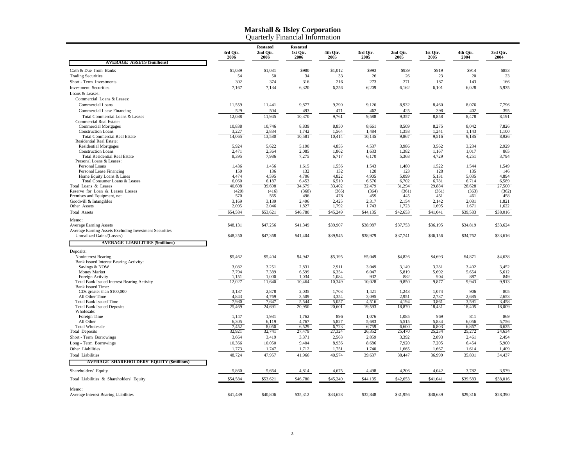|                                                          |                  | Quarterly Financial Information     |                                     |                  |                  |                  |                  |                  |                  |
|----------------------------------------------------------|------------------|-------------------------------------|-------------------------------------|------------------|------------------|------------------|------------------|------------------|------------------|
|                                                          | 3rd Otr.<br>2006 | <b>Restated</b><br>2nd Otr.<br>2006 | <b>Restated</b><br>1st Otr.<br>2006 | 4th Otr.<br>2005 | 3rd Otr.<br>2005 | 2nd Otr.<br>2005 | 1st Otr.<br>2005 | 4th Otr.<br>2004 | 3rd Otr.<br>2004 |
| <b>AVERAGE ASSETS (\$millions)</b>                       |                  |                                     |                                     |                  |                  |                  |                  |                  |                  |
| Cash & Due from Banks                                    | \$1,039          | \$1,031                             | \$980                               | \$1,012          | \$993            | \$939            | \$919            | \$914            | \$853            |
| <b>Trading Securities</b>                                | 54               | 50                                  | 34                                  | 33               | 26               | 26               | 23               | 20               | 23               |
| Short - Term Investments                                 | 302              | 374                                 | 316                                 | 216              | 273              | 271              | 187              | 143              | 166              |
| <b>Investment Securities</b>                             | 7,167            | 7,134                               | 6,320                               | 6,256            | 6,209            | 6,162            | 6,101            | 6,028            | 5,935            |
| Loans & Leases:                                          |                  |                                     |                                     |                  |                  |                  |                  |                  |                  |
| Commercial Loans & Leases:                               |                  |                                     |                                     |                  |                  |                  |                  |                  |                  |
| <b>Commercial Loans</b>                                  | 11,559           | 11,441                              | 9,877                               | 9,290            | 9,126            | 8,932            | 8,460            | 8,076            | 7,796            |
| Commercial Lease Financing                               | 529              | 504                                 | 493                                 | 471              | 462              | 425              | 398              | 402              | 395              |
| Total Commercial Loans & Leases                          | 12,088           | 11,945                              | 10,370                              | 9,761            | 9,588            | 9,357            | 8,858            | 8,478            | 8,191            |
| <b>Commercial Real Estate:</b>                           |                  |                                     |                                     |                  |                  |                  |                  |                  |                  |
| <b>Commercial Mortgages</b>                              | 10,838           | 10,746                              | 8,839                               | 8,850            | 8,661            | 8,509            | 8,275            | 8,042            | 7,826            |
| <b>Construction Loans</b>                                | 3,227            | 2,834                               | 1,742                               | 1,564            | 1,484            | 1,358            | 1,241            | 1,143            | 1,100            |
| <b>Total Commercial Real Estate</b>                      | 14,065           | 13,580                              | 10,581                              | 10,414           | 10,145           | 9,867            | 9,516            | 9,185            | 8,926            |
| Residential Real Estate:<br><b>Residential Mortgages</b> | 5,924            | 5,622                               | 5,190                               | 4,855            | 4,537            | 3,986            | 3,562            | 3,234            | 2,929            |
| <b>Construction Loans</b>                                | 2,471            | 2.364                               | 2,085                               | 1,862            | 1,633            | 1,382            | 1,167            | 1,017            | 865              |
| <b>Total Residential Real Estate</b>                     | 8,395            | 7,986                               | 7,275                               | 6,717            | 6,170            | 5,368            | 4,729            | 4,251            | 3,794            |
| Personal Loans & Leases:                                 |                  |                                     |                                     |                  |                  |                  |                  |                  |                  |
| Personal Loans                                           | 1,436            | 1,456                               | 1,615                               | 1,556            | 1,543            | 1,480            | 1,522            | 1,544            | 1,549            |
| Personal Lease Financing                                 | 150              | 136                                 | 132                                 | 132              | 128              | 123              | 128              | 135              | 146              |
| Home Equity Loans & Lines                                | 4,474            | 4,595                               | 4,706                               | 4,822            | 4,905            | 5,099            | 5,131            | 5,035            | 4,894            |
| Total Consumer Loans & Leases                            | 6.060            | 6.187                               | 6.453                               | 6.510            | 6.576            | 6.702            | 6,781            | 6.714            | 6.589            |
| Total Loans & Leases                                     | 40.608           | 39.698                              | 34,679                              | 33.402           | 32,479           | 31.294           | 29,884           | 28,628           | 27.500           |
| Reserve for Loan & Leases Losses                         | (420)            | (416)                               | (368)                               | (365)            | (364)            | (361)            | (361)            | (363)            | (362)            |
| Premises and Equipment, net                              | 570              | 565                                 | 496<br>2,496                        | 478<br>2,425     | 459<br>2,317     | 445              | 451<br>2,142     | 461<br>2,081     | 458<br>1,821     |
| Goodwill & Intangibles<br>Other Assets                   | 3,169<br>2,095   | 3,139<br>2,046                      | 1,827                               | 1,792            | 1,743            | 2,154<br>1,723   | 1,695            | 1,671            | 1,622            |
|                                                          |                  | \$53,621                            | \$46,780                            |                  | \$44,135         | \$42,653         | \$41,041         |                  | \$38,016         |
| <b>Total Assets</b>                                      | \$54,584         |                                     |                                     | \$45,249         |                  |                  |                  | \$39,583         |                  |
| Memo:                                                    |                  |                                     |                                     |                  |                  |                  |                  |                  |                  |
| <b>Average Earning Assets</b>                            | \$48,131         | \$47,256                            | \$41,349                            | \$39,907         | \$38,987         | \$37,753         | \$36,195         | \$34,819         | \$33,624         |
| Average Earning Assets Excluding Investment Securities   |                  |                                     |                                     |                  |                  |                  |                  |                  |                  |
| Unrealized Gains/(Losses)                                | \$48,250         | \$47,368                            | \$41,404                            | \$39,945         | \$38,979         | \$37,741         | \$36,156         | \$34,762         | \$33,616         |
| <b>AVERAGE LIABILITIES (\$millions)</b>                  |                  |                                     |                                     |                  |                  |                  |                  |                  |                  |
| Deposits:                                                |                  |                                     |                                     |                  |                  |                  |                  |                  |                  |
| Noninterest Bearing                                      | \$5,462          | \$5,404                             | \$4,942                             | \$5,195          | \$5,049          | \$4,826          | \$4,693          | \$4,871          | \$4,638          |
| Bank Issued Interest Bearing Activity:                   |                  |                                     |                                     |                  |                  |                  |                  |                  |                  |
| Savings & NOW                                            | 3,082            | 3,251                               | 2,831                               | 2,911            | 3,049            | 3,149            | 3,281            | 3,402            | 3,452            |
| Money Market                                             | 7.794            | 7,389                               | 6,599                               | 6,354            | 6.047            | 5,819            | 5,692            | 5,654            | 5,612            |
| Foreign Activity                                         | 1.151            | 1,000                               | 1.034                               | 1,084            | 932              | 882              | 904              | 887              | 849              |
| <b>Total Bank Issued Interest Bearing Activity</b>       | 12,027           | 11,640                              | 10,464                              | 10,349           | 10,028           | 9,850            | 9,877            | 9,943            | 9,913            |
| <b>Bank Issued Time:</b>                                 |                  |                                     |                                     |                  |                  |                  |                  |                  |                  |
| CDs greater than \$100,000                               | 3,137            | 2,878<br>4,769                      | 2,035<br>3,509                      | 1,703            | 1,421<br>3,095   | 1,243            | 1,074            | 906              | 805<br>2,653     |
| All Other Time<br><b>Total Bank Issued Time</b>          | 4,843<br>7,980   | 7,647                               | 5,544                               | 3,354<br>5,057   | 4,516            | 2,951<br>4,194   | 2,787<br>3,861   | 2,685<br>3,591   | 3,458            |
| <b>Total Bank Issued Deposits</b>                        | 25,469           | 24,691                              | 20,950                              | 20,601           | 19,593           | 18,870           | 18,431           | 18,405           | 18,009           |
| Wholesale:                                               |                  |                                     |                                     |                  |                  |                  |                  |                  |                  |
| Foreign Time                                             | 1,147            | 1,931                               | 1,762                               | 896              | 1,076            | 1,085            | 969              | 811              | 869              |
| All Other                                                | 6,305            | 6.119                               | 4,767                               | 5,827            | 5,683            | 5,515            | 5,834            | 6,056            | 5,756            |
| <b>Total Wholesale</b>                                   | 7,452            | 8,050                               | 6,529                               | 6,723            | 6,759            | 6,600            | 6,803            | 6,867            | 6,625            |
| <b>Total Deposits</b>                                    | 32,921           | 32,741                              | 27,479                              | 27,324           | 26,352           | 25,470           | 25,234           | 25,272           | 24,634           |
| Short - Term Borrowings                                  | 3,664            | 3,419                               | 3,371                               | 2,563            | 2,859            | 3,392            | 2,893            | 2,461            | 2,494            |
| Long - Term Borrowings                                   | 10,366           | 10,050                              | 9,404                               | 8,936            | 8,686            | 7,920            | 7,205            | 6,454            | 5,900            |
| Other Liabilities                                        | 1,773            | 1,747                               | 1,712                               | 1,751            | 1,740            | 1,665            | 1,667            | 1,614            | 1,409            |
| <b>Total Liabilities</b>                                 | 48,724           | 47,957                              | 41,966                              | 40,574           | 39,637           | 38,447           | 36,999           | 35,801           | 34,437           |
| <b>AVERAGE SHAREHOLDERS' EQUITY (\$millions)</b>         |                  |                                     |                                     |                  |                  |                  |                  |                  |                  |
| Shareholders' Equity                                     | 5,860            | 5,664                               | 4,814                               | 4,675            | 4,498            | 4,206            | 4,042            | 3,782            | 3,579            |
| Total Liabilities & Shareholders' Equity                 | \$54,584         | \$53,621                            | \$46,780                            | \$45,249         | \$44,135         | \$42,653         | \$41,041         | \$39,583         | \$38,016         |
|                                                          |                  |                                     |                                     |                  |                  |                  |                  |                  |                  |
| Memo:                                                    | \$41,489         | \$40,806                            | \$35,312                            | \$33,628         | \$32,848         | \$31,956         | \$30,639         | \$29,316         | \$28,390         |
| Average Interest Bearing Liabilities                     |                  |                                     |                                     |                  |                  |                  |                  |                  |                  |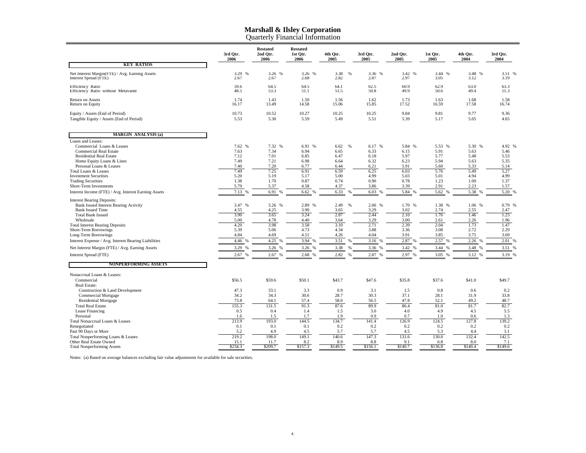#### **Marshall & Ilsley Corporation** Quarterly Financial Information

|                                                                                                                                                                                                                                                                                                          | 3rd Otr.<br>2006                                                       | <b>Restated</b><br>2nd Qtr.<br>2006                                             | <b>Restated</b><br>1st Qtr.<br>2006                                        | 4th Qtr.<br>2005                                                     | 3rd Qtr.<br>2005                                                            | 2nd Otr.<br>2005                                                       | 1st Qtr.<br>2005                                                       | 4th Otr.<br>2004                                                       | 3rd Otr.<br>2004                                                       |
|----------------------------------------------------------------------------------------------------------------------------------------------------------------------------------------------------------------------------------------------------------------------------------------------------------|------------------------------------------------------------------------|---------------------------------------------------------------------------------|----------------------------------------------------------------------------|----------------------------------------------------------------------|-----------------------------------------------------------------------------|------------------------------------------------------------------------|------------------------------------------------------------------------|------------------------------------------------------------------------|------------------------------------------------------------------------|
| <b>KEY RATIOS</b>                                                                                                                                                                                                                                                                                        |                                                                        |                                                                                 |                                                                            |                                                                      |                                                                             |                                                                        |                                                                        |                                                                        |                                                                        |
| Net Interest Margin(FTE) / Avg. Earning Assets<br>Interest Spread (FTE)                                                                                                                                                                                                                                  | 3.29 %<br>2.67                                                         | 3.26 %<br>2.67                                                                  | 3.26 %<br>2.68                                                             | 3.38<br>%<br>2.82                                                    | 3.36 %<br>2.87                                                              | 3.42 %<br>2.97                                                         | 3.44 %<br>3.05                                                         | 3.48 %<br>3.12                                                         | 3.51 %<br>3.19                                                         |
| Efficiency Ratio<br>Efficiency Ratio without Metavante                                                                                                                                                                                                                                                   | 59.6<br>48.5                                                           | 64.5<br>53.3                                                                    | 64.5<br>51.1                                                               | 64.1<br>51.5                                                         | 62.5<br>50.8                                                                | 60.9<br>49.9                                                           | 62.9<br>50.6                                                           | 63.0<br>49.4                                                           | 63.3<br>51.3                                                           |
| Return on Assets<br>Return on Equity                                                                                                                                                                                                                                                                     | 1.74<br>16.17                                                          | 1.43<br>13.49                                                                   | 1.50<br>14.58                                                              | 1.56<br>15.06                                                        | 1.62<br>15.85                                                               | 1.73<br>17.52                                                          | 1.63<br>16.59                                                          | 1.68<br>17.58                                                          | 1.58<br>16.74                                                          |
| Equity / Assets (End of Period)<br>Tangible Equity / Assets (End of Period)                                                                                                                                                                                                                              | 10.73<br>5.53                                                          | 10.52<br>5.30                                                                   | 10.27<br>5.59                                                              | 10.25<br>5.49                                                        | 10.25<br>5.51                                                               | 9.84<br>5.39                                                           | 9.81<br>5.17                                                           | 9.77<br>5.05                                                           | 9.36<br>4.65                                                           |
| <b>MARGIN ANALYSIS (a)</b><br>Loans and Leases:                                                                                                                                                                                                                                                          |                                                                        |                                                                                 |                                                                            |                                                                      |                                                                             |                                                                        |                                                                        |                                                                        |                                                                        |
| Commercial Loans & Leases<br><b>Commercial Real Estate</b><br><b>Residential Real Estate</b><br>Home Equity Loans & Lines<br>Personal Loans & Leases<br>Total Loans & Leases<br><b>Investment Securities</b><br><b>Trading Securities</b><br>Short-Term Investments                                      | 7.62 %<br>7.63<br>7.12<br>7.49<br>7.40<br>7.49<br>5.20<br>1.38<br>5.79 | 7.32 %<br>7.34<br>7.01<br>7.21<br>7.20<br>7.25<br>5.19<br>1.70<br>5.37          | 6.91 %<br>6.94<br>6.85<br>6.98<br>6.77<br>6.91<br>5.17<br>0.87<br>4.58     | 6.62<br>6.65<br>6.47<br>6.64<br>6.44<br>6.59<br>5.00<br>0.74<br>4.37 | 6.17 %<br>%<br>6.33<br>6.18<br>6.32<br>6.21<br>6.25<br>4.99<br>0.90<br>3.86 | 5.84 %<br>6.15<br>5.97<br>6.23<br>5.91<br>6.03<br>5.03<br>0.78<br>3.39 | 5.53 %<br>5.91<br>5.77<br>5.94<br>5.60<br>5.76<br>5.01<br>1.23<br>2.91 | 5.30 %<br>5.63<br>5.48<br>5.63<br>5.33<br>5.49<br>4.94<br>1.00<br>2.23 | 4.92 %<br>5.46<br>5.53<br>5.35<br>5.14<br>5.27<br>4.99<br>1.37<br>1.57 |
| Interest Income (FTE) / Avg. Interest Earning Assets                                                                                                                                                                                                                                                     | 7.13<br>%                                                              | 6.91<br>$\frac{9}{6}$                                                           | 6.62 %                                                                     | 6.33                                                                 | 6.03 %                                                                      | 5.84<br>$\frac{0}{6}$                                                  | 5.62<br>$\%$                                                           | 5.38                                                                   | 5.20 %                                                                 |
| <b>Interest Bearing Deposits:</b><br><b>Bank Issued Interest Bearing Activity</b><br><b>Bank Issued Time</b><br><b>Total Bank Issued</b><br>Wholesale<br><b>Total Interest Bearing Deposits</b><br>Short-Term Borrowings<br>Long-Term Borrowings<br>Interest Expense / Avg. Interest Bearing Liabilities | 3.47 %<br>4.55<br>3.90<br>5.00<br>4.20<br>5.39<br>4.84<br>4.46         | 3.26 %<br>4.25<br>3.65<br>4.78<br>3.98<br>5.06<br>4.69<br>4.25<br>$\frac{0}{6}$ | 2.89 %<br>3.90<br>3.24<br>4.40<br>3.58<br>4.73<br>4.51<br>3.94<br>$\alpha$ | 2.49<br>%<br>3.65<br>2.87<br>3.64<br>3.10<br>4.34<br>4.26<br>3.51    | 2.06 %<br>3.29<br>2.44<br>3.29<br>2.71<br>3.88<br>4.04<br>3.16%             | 1.70 %<br>3.02<br>2.10<br>3.00<br>2.39<br>3.36<br>3.91<br>2.87<br>$\%$ | 1.38 %<br>2.74<br>1.76<br>2.61<br>2.04<br>3.08<br>3.85<br>2.57         | 1.06 %<br>2.55<br>1.46<br>2.26<br>1.73<br>2.72<br>3.75<br>2.26<br>%    | 0.79 %<br>2.47<br>1.23<br>1.96<br>1.47<br>2.29<br>3.69<br>2.01%        |
| Net Interest Margin (FTE) / Avg. Earning Assets                                                                                                                                                                                                                                                          | 3.29 %                                                                 | 3.26 %                                                                          | 3.26 %                                                                     | 3.38                                                                 | 3.36 %                                                                      | 3.42 %                                                                 | 3.44 %                                                                 | 3.48 %                                                                 | 3.51 %                                                                 |
| Interest Spread (FTE)<br><b>NONPERFORMING ASSETS</b>                                                                                                                                                                                                                                                     | 2.67 %                                                                 | 2.67                                                                            | 2.68 %                                                                     | 2.82                                                                 | 2.87 %                                                                      | 2.97                                                                   | 3.05 %                                                                 | 3.12 %                                                                 | 3.19 %                                                                 |
| Nonaccrual Loans & Leases:<br>Commercial<br>Real Estate:                                                                                                                                                                                                                                                 | \$56.5                                                                 | \$59.6                                                                          | \$50.1                                                                     | \$43.7                                                               | \$47.6                                                                      | \$35.8                                                                 | \$37.6                                                                 | \$41.0                                                                 | \$49.7                                                                 |
| Construction & Land Development<br><b>Commercial Mortgage</b><br><b>Residential Mortgage</b><br><b>Total Real Estate</b><br>Lease Financing<br>Personal                                                                                                                                                  | 47.3<br>34.2<br>73.8<br>155.3<br>0.5<br>1.6                            | 33.1<br>34.3<br>64.1<br>131.5<br>0.4<br>1.5                                     | 3.3<br>30.6<br>57.4<br>91.3<br>1.4<br>1.7                                  | 0.9<br>28.7<br>58.0<br>87.6<br>1.5<br>1.9                            | 3.1<br>30.3<br>56.5<br>89.9<br>3.0<br>0.9                                   | 1.5<br>37.1<br>47.8<br>86.4<br>4.0<br>0.7                              | 0.8<br>28.1<br>52.1<br>81.0<br>4.9<br>1.0                              | 0.6<br>31.9<br>49.2<br>81.7<br>4.5<br>0.6                              | 0.2<br>33.8<br>48.7<br>82.7<br>5.5<br>1.3                              |
| Total Nonaccrual Loans & Leases<br>Renegotiated<br>Past 90 Days or More                                                                                                                                                                                                                                  | 213.9<br>0.1<br>5.2                                                    | 193.0<br>0.1<br>4.9                                                             | 144.5<br>0.1<br>4.5                                                        | 134.7<br>0.2<br>5.7                                                  | 141.4<br>0.2<br>5.7                                                         | 126.9<br>0.2<br>4.5                                                    | 124.5<br>0.2<br>5.3                                                    | 127.8<br>0.2<br>4.4                                                    | 139.2<br>0.2<br>3.1                                                    |
| Total Nonperforming Loans & Leases<br>Other Real Estate Owned<br><b>Total Nonperforming Assets</b>                                                                                                                                                                                                       | 219.2<br>15.1<br>\$234.3                                               | 198.0<br>11.7<br>\$209.7                                                        | 149.1<br>8.2<br>\$157.3                                                    | 140.6<br>8.9<br>\$149.5                                              | 147.3<br>8.8<br>\$156.1                                                     | 131.6<br>9.1<br>\$140.7                                                | 130.0<br>6.8<br>\$136.8                                                | 132.4<br>8.0<br>\$140.4                                                | 142.5<br>7.1<br>\$149.6                                                |

Notes: (a) Based on average balances excluding fair value adjustments for available for sale securities.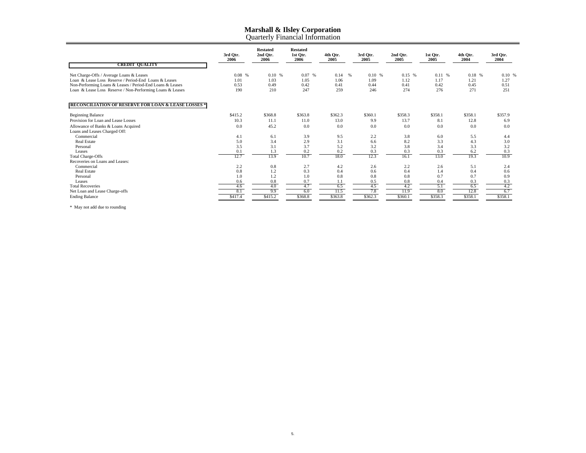|  | <b>Ouarterly Financial Information</b> |
|--|----------------------------------------|
|  |                                        |
|  |                                        |
|  |                                        |

| <b>CREDIT QUALITY</b>                                                                                                  | 3rd Qtr.<br>2006 | <b>Restated</b><br>2nd Qtr.<br>2006 | <b>Restated</b><br>1st Qtr.<br>2006 | 4th Otr.<br>2005     | 3rd Otr.<br>2005 | 2nd Otr.<br>2005 | 1st Otr.<br>2005 | 4th Otr.<br>2004 | 3rd Otr.<br>2004 |
|------------------------------------------------------------------------------------------------------------------------|------------------|-------------------------------------|-------------------------------------|----------------------|------------------|------------------|------------------|------------------|------------------|
| Net Charge-Offs / Average Loans & Leases<br>Loan & Lease Loss Reserve / Period-End Loans & Leases                      | $0.08\%$<br>1.01 | 0.10%<br>1.03                       | 0.07%<br>1.05                       | 0.14<br>$\%$<br>1.06 | 0.10%<br>1.09    | 0.15%<br>1.12    | 0.11%<br>1.17    | 0.18 %<br>1.21   | 0.10%<br>1.27    |
| Non-Performing Loans & Leases / Period-End Loans & Leases<br>Loan & Lease Loss Reserve / Non-Performing Loans & Leases | 0.53<br>190      | 0.49<br>210                         | 0.42<br>247                         | 0.41<br>259          | 0.44<br>246      | 0.41<br>274      | 0.42<br>276      | 0.45<br>271      | 0.51<br>251      |
| <b>RECONCHERVION OF RESERVE TOR LOAN &amp; BEASE LOSSES!</b>                                                           |                  |                                     |                                     |                      |                  |                  |                  |                  |                  |
| <b>Beginning Balance</b>                                                                                               | \$415.2          | \$368.8                             | \$363.8                             | \$362.3              | \$360.1          | \$358.3          | \$358.1          | \$358.1          | \$357.9          |
| Provision for Loan and Lease Losses                                                                                    | 10.3             | 11.1                                | 11.0                                | 13.0                 | 9.9              | 13.7             | 8.1              | 12.8             | 6.9              |
| Allowance of Banks & Loans Acquired                                                                                    | 0.0              | 45.2                                | 0.0                                 | 0.0                  | 0.0              | 0.0              | 0.0              | 0.0              | 0.0              |
| Loans and Leases Charged Off:                                                                                          |                  |                                     |                                     |                      |                  |                  |                  |                  |                  |
| Commercial                                                                                                             | 4.1              | 6.1                                 | 3.9                                 | 9.5                  | 2.2              | 3.8              | 6.0              | 5.5              | 4.4              |
| <b>Real Estate</b>                                                                                                     | 5.0              | 3.4                                 | 2.9                                 | 3.1                  | 6.6              | 8.2              | 3.3              | 4.3              | 3.0              |
| Personal                                                                                                               | 3.5              | 3.1                                 | 3.7                                 | 5.2                  | 3.2              | 3.8              | 3.4              | 3.3              | 3.2              |
| Leases                                                                                                                 | 0.1              | 1.3                                 | 0.2                                 | 0.2                  | 0.3              | 0.3              | 0.3              | 6.2              | 0.3              |
| <b>Total Charge-Offs</b>                                                                                               | 12.7             | 13.9                                | 10.7                                | 18.0                 | 12.3             | 16.1             | 13.0             | 19.3             | 10.9             |
| Recoveries on Loans and Leases:                                                                                        |                  |                                     |                                     |                      |                  |                  |                  |                  |                  |
| Commercial                                                                                                             | 2.2              | 0.8                                 | 2.7                                 | 4.2                  | 2.6              | 2.2              | 2.6              | 5.1              | 2.4              |
| <b>Real Estate</b>                                                                                                     | 0.8              | 1.2                                 | 0.3                                 | 0.4                  | 0.6              | 0.4              | 1.4              | 0.4              | 0.6              |
| Personal                                                                                                               | 1.0              | 1.2                                 | 1.0                                 | 0.8                  | 0.8              | 0.8              | 0.7              | 0.7              | 0.9              |
| Leases                                                                                                                 | 0.6              | 0.8                                 | 0.7                                 | 1.1                  | 0.5              | 0.8              | 0.4              | 0.3              | 0.3              |
| <b>Total Recoveries</b>                                                                                                | 4.6              | 4.0<br>9.9                          | 4.7<br>6.0                          | 6.5<br>11.5          | 4.5<br>7.8       | 4.2<br>11.9      | 5.1<br>8.0       | 6.5<br>12.8      | 4.2<br>6.7       |
| Net Loan and Lease Charge-offs                                                                                         | 8.1              |                                     |                                     |                      |                  |                  |                  |                  |                  |
| <b>Ending Balance</b>                                                                                                  | \$417.4          | \$415.2                             | \$368.8                             | \$363.8              | \$362.3          | \$360.1          | \$358.3          | \$358.1          | \$358.1          |

\* May not add due to rounding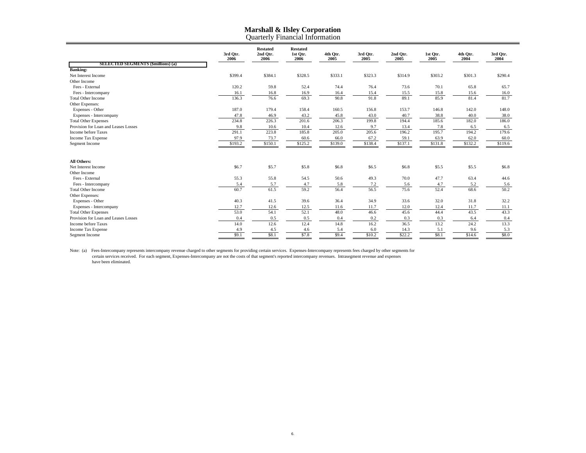#### **Marshall & Ilsley Corporation** Quarterly Financial Information

|                                           | 3rd Otr.<br>2006 | <b>Restated</b><br>2nd Otr.<br>2006 | <b>Restated</b><br>1st Qtr.<br>2006 | 4th Qtr.<br>2005 | 3rd Qtr.<br>2005 | 2nd Qtr.<br>2005 | 1st Otr.<br>2005 | 4th Otr.<br>2004 | 3rd Otr.<br>2004 |
|-------------------------------------------|------------------|-------------------------------------|-------------------------------------|------------------|------------------|------------------|------------------|------------------|------------------|
| <b>SELECTED SEGMENTS (\$millions) (a)</b> |                  |                                     |                                     |                  |                  |                  |                  |                  |                  |
| <b>Banking:</b>                           |                  |                                     |                                     |                  |                  |                  |                  |                  |                  |
| Net Interest Income                       | \$399.4          | \$384.1                             | \$328.5                             | \$333.1          | \$323.3          | \$314.9          | \$303.2          | \$301.3          | \$290.4          |
| Other Income                              |                  |                                     |                                     |                  |                  |                  |                  |                  |                  |
| Fees - External                           | 120.2            | 59.8                                | 52.4                                | 74.4             | 76.4             | 73.6             | 70.1             | 65.8             | 65.7             |
| Fees - Intercompany                       | 16.1             | 16.8                                | 16.9                                | 16.4             | 15.4             | 15.5             | 15.8             | 15.6             | 16.0             |
| <b>Total Other Income</b>                 | 136.3            | 76.6                                | 69.3                                | 90.8             | 91.8             | 89.1             | 85.9             | 81.4             | 81.7             |
| Other Expenses:                           |                  |                                     |                                     |                  |                  |                  |                  |                  |                  |
| Expenses - Other                          | 187.0            | 179.4                               | 158.4                               | 160.5            | 156.8            | 153.7            | 146.8            | 142.0            | 148.0            |
| Expenses - Intercompany                   | 47.8             | 46.9                                | 43.2                                | 45.8             | 43.0             | 40.7             | 38.8             | 40.0             | 38.0             |
| <b>Total Other Expenses</b>               | 234.8            | 226.3                               | 201.6                               | 206.3            | 199.8            | 194.4            | 185.6            | 182.0            | 186.0            |
| Provision for Loan and Leases Losses      | 9.8              | 10.6                                | 10.4                                | 12.6             | 9.7              | 13.4             | 7.8              | 6.5              | 6.5              |
| Income before Taxes                       | 291.1            | 223.8                               | 185.8                               | 205.0            | 205.6            | 196.2            | 195.7            | 194.2            | 179.6            |
| Income Tax Expense                        | 97.9             | 73.7                                | 60.6                                | 66.0             | 67.2             | 59.1             | 63.9             | 62.0             | 60.0             |
| Segment Income                            | \$193.2          | \$150.1                             | \$125.2                             | \$139.0          | \$138.4          | \$137.1          | \$131.8          | \$132.2          | \$119.6          |
| All Others:                               |                  |                                     |                                     |                  |                  |                  |                  |                  |                  |
| Net Interest Income                       | \$6.7            | \$5.7                               | \$5.8                               | \$6.8            | \$6.5            | \$6.8            | \$5.5            | \$5.5            | \$6.8            |
| Other Income                              |                  |                                     |                                     |                  |                  |                  |                  |                  |                  |
| Fees - External                           | 55.3             | 55.8                                | 54.5                                | 50.6             | 49.3             | 70.0             | 47.7             | 63.4             | 44.6             |
| Fees - Intercompany                       | 5.4              | 5.7                                 | 4.7                                 | 5.8              | 7.2              | 5.6              | 4.7              | 5.2              | 5.6              |
| <b>Total Other Income</b>                 | 60.7             | 61.5                                | 59.2                                | 56.4             | 56.5             | 75.6             | 52.4             | 68.6             | 50.2             |
| Other Expenses:                           |                  |                                     |                                     |                  |                  |                  |                  |                  |                  |
| Expenses - Other                          | 40.3             | 41.5                                | 39.6                                | 36.4             | 34.9             | 33.6             | 32.0             | 31.8             | 32.2             |
| Expenses - Intercompany                   | 12.7             | 12.6                                | 12.5                                | 11.6             | 11.7             | 12.0             | 12.4             | 11.7             | 11.1             |
| <b>Total Other Expenses</b>               | 53.0             | 54.1                                | 52.1                                | 48.0             | 46.6             | 45.6             | 44.4             | 43.5             | 43.3             |
| Provision for Loan and Leases Losses      | 0.4              | 0.5                                 | 0.5                                 | 0.4              | 0.2              | 0.3              | 0.3              | 6.4              | 0.4              |
| Income before Taxes                       | 14.0             | 12.6                                | 12.4                                | 14.8             | 16.2             | 36.5             | 13.2             | 24.2             | 13.3             |
| <b>Income Tax Expense</b>                 | 4.9              | 4.5                                 | 4.6                                 | 5.4              | 6.0              | 14.3             | 5.1              | 9.6              | 5.3              |
| Segment Income                            | \$9.1            | \$8.1                               | \$7.8                               | \$9.4            | \$10.2           | \$22.2           | \$8.1            | \$14.6           | \$8.0            |

Note: (a) Fees-Intercompany represents intercompany revenue charged to other segments for providing certain services. Expenses-Intercompany represents fees charged by other segments for<br>certain services received. For each have been eliminated.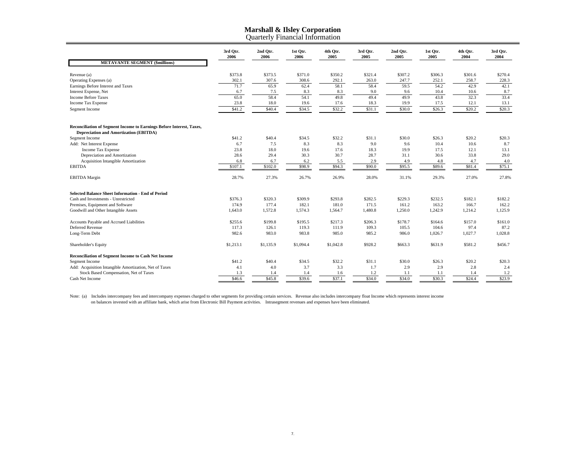#### **Marshall & Ilsley Corporation** Quarterly Financial Informatio n

|                                                                                                                       | 3rd Qtr.<br>2006 | 2nd Qtr.<br>2006 | 1st Qtr.<br>2006 | 4th Qtr.<br>2005 | 3rd Qtr.<br>2005 | 2nd Qtr.<br>2005 | 1st Qtr.<br>2005 | 4th Qtr.<br>2004 | 3rd Qtr.<br>2004 |
|-----------------------------------------------------------------------------------------------------------------------|------------------|------------------|------------------|------------------|------------------|------------------|------------------|------------------|------------------|
| <b>METAVANTE SEGMENT (\$millions)</b>                                                                                 |                  |                  |                  |                  |                  |                  |                  |                  |                  |
| Revenue (a)                                                                                                           | \$373.8          | \$373.5          | \$371.0          | \$350.2          | \$321.4          | \$307.2          | \$306.3          | \$301.6          | \$270.4          |
| Operating Expenses (a)                                                                                                | 302.1            | 307.6            | 308.6            | 292.1            | 263.0            | 247.7            | 252.1            | 258.7            | 228.3            |
| Earnings Before Interest and Taxes                                                                                    | 71.7             | 65.9             | 62.4             | 58.1             | 58.4             | 59.5             | 54.2             | 42.9             | 42.1             |
| Interest Expense, Net                                                                                                 | 6.7              | 7.5              | 8.3              | 8.3              | 9.0              | 9.6              | 10.4             | 10.6             | 8.7              |
| <b>Income Before Taxes</b>                                                                                            | 65.0             | 58.4             | 54.1             | 49.8             | 49.4             | 49.9             | 43.8             | 32.3             | 33.4             |
| Income Tax Expense                                                                                                    | 23.8             | 18.0             | 19.6             | 17.6             | 18.3             | 19.9             | 17.5             | 12.1             | 13.1             |
| Segment Income                                                                                                        | \$41.2           | \$40.4           | \$34.5           | \$32.2           | \$31.1           | \$30.0           | \$26.3           | \$20.2           | \$20.3           |
|                                                                                                                       |                  |                  |                  |                  |                  |                  |                  |                  |                  |
| Reconciliation of Segment Income to Earnings Before Interest, Taxes,<br><b>Depreciation and Amortization (EBITDA)</b> |                  |                  |                  |                  |                  |                  |                  |                  |                  |
| Segment Income                                                                                                        | \$41.2           | \$40.4           | \$34.5           | \$32.2           | \$31.1           | \$30.0           | \$26.3           | \$20.2           | \$20.3           |
| Add: Net Interest Expense                                                                                             | 6.7              | 7.5              | 8.3              | 8.3              | 9.0              | 9.6              | 10.4             | 10.6             | 8.7              |
| Income Tax Expense                                                                                                    | 23.8             | 18.0             | 19.6             | 17.6             | 18.3             | 19.9             | 17.5             | 12.1             | 13.1             |
| Depreciation and Amortization                                                                                         | 28.6             | 29.4             | 30.3             | 30.7             | 28.7             | 31.1             | 30.6             | 33.8             | 29.0             |
| Acquisition Intangible Amortization                                                                                   | 6.8              | 6.7              | 6.2              | 5.5              | 2.9              | 4.9              | 4.8              | 4.7              | 4.0              |
| <b>EBITDA</b>                                                                                                         | \$107.1          | \$102.0          | \$98.9           | \$94.3           | \$90.0           | \$95.5           | \$89.6           | \$81.4           | \$75.1           |
| <b>EBITDA</b> Margin                                                                                                  | 28.7%            | 27.3%            | 26.7%            | 26.9%            | 28.0%            | 31.1%            | 29.3%            | 27.0%            | 27.8%            |
| <b>Selected Balance Sheet Information - End of Period</b>                                                             |                  |                  |                  |                  |                  |                  |                  |                  |                  |
| Cash and Investments - Unrestricted                                                                                   | \$376.3          | \$320.3          | \$309.9          | \$293.8          | \$282.5          | \$229.3          | \$232.5          | \$182.1          | \$182.2          |
| Premises, Equipment and Software                                                                                      | 174.9            | 177.4            | 182.1            | 181.0            | 171.5            | 161.2            | 163.2            | 166.7            | 162.2            |
| Goodwill and Other Intangible Assets                                                                                  | 1,643.0          | 1,572.8          | 1,574.3          | 1,564.7          | 1,480.8          | 1,250.0          | 1,242.9          | 1,214.2          | 1,125.9          |
| Accounts Payable and Accrued Liabilities                                                                              | \$255.6          | \$199.8          | \$195.5          | \$217.3          | \$206.3          | \$178.7          | \$164.6          | \$157.0          | \$161.0          |
| Deferred Revenue                                                                                                      | 117.3            | 126.1            | 119.3            | 111.9            | 109.3            | 105.5            | 104.6            | 97.4             | 87.2             |
| Long-Term Debt                                                                                                        | 982.6            | 983.0            | 983.8            | 985.0            | 985.2            | 986.0            | 1,026.7          | 1,027.7          | 1,028.8          |
| Shareholder's Equity                                                                                                  | \$1,213.1        | \$1,135.9        | \$1,094.4        | \$1,042.8        | \$928.2          | \$663.3          | \$631.9          | \$581.2          | \$456.7          |
| <b>Reconciliation of Segment Income to Cash Net Income</b>                                                            |                  |                  |                  |                  |                  |                  |                  |                  |                  |
| Segment Income                                                                                                        | \$41.2           | \$40.4           | \$34.5           | \$32.2           | \$31.1           | \$30.0           | \$26.3           | \$20.2           | \$20.3           |
| Add: Acquisition Intangible Amortization, Net of Taxes                                                                | 4.1              | 4.0              | 3.7              | 3.3              | 1.7              | 2.9              | 2.9              | 2.8              | 2.4              |
| Stock Based Compensation, Net of Taxes                                                                                | 1.3              | 1.4              | 1.4              | 1.6              | 1.2              | 1.1              | 1.1              | 1.4              | 1.2              |
| Cash Net Income                                                                                                       | \$46.6           | \$45.8           | \$39.6           | \$37.1           | \$34.0           | \$34.0           | \$30.3           | \$24.4           | \$23.9           |

Note: (a) Includes intercompany fees and intercompany expenses charged to other segments for providing certain services. Revenue also includes intercompany float Income which represents interest income<br>on balances invested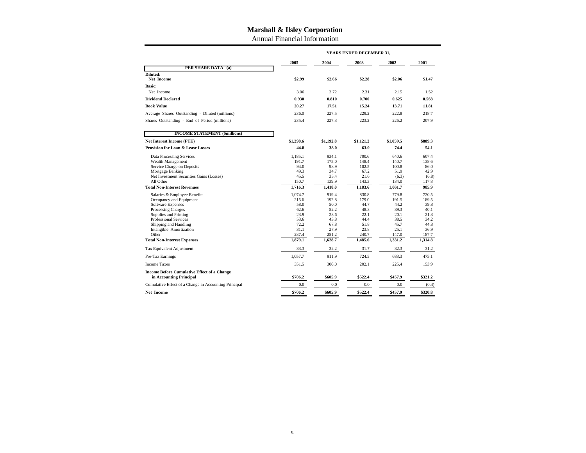Annual Financial Information

|                                                                                                                                                                                                                                                                                                                                                                                                                                                                                |                                                                                                                                                      | YEARS ENDED DECEMBER 31,                                                                                                                         |                                                                                                                                                   |                                                                                                                                                    |                                                                                                                                      |  |  |  |  |  |
|--------------------------------------------------------------------------------------------------------------------------------------------------------------------------------------------------------------------------------------------------------------------------------------------------------------------------------------------------------------------------------------------------------------------------------------------------------------------------------|------------------------------------------------------------------------------------------------------------------------------------------------------|--------------------------------------------------------------------------------------------------------------------------------------------------|---------------------------------------------------------------------------------------------------------------------------------------------------|----------------------------------------------------------------------------------------------------------------------------------------------------|--------------------------------------------------------------------------------------------------------------------------------------|--|--|--|--|--|
|                                                                                                                                                                                                                                                                                                                                                                                                                                                                                | 2005                                                                                                                                                 | 2004                                                                                                                                             | 2003                                                                                                                                              | 2002                                                                                                                                               | 2001                                                                                                                                 |  |  |  |  |  |
| PER SHARE DATA (a)                                                                                                                                                                                                                                                                                                                                                                                                                                                             |                                                                                                                                                      |                                                                                                                                                  |                                                                                                                                                   |                                                                                                                                                    |                                                                                                                                      |  |  |  |  |  |
| Diluted:<br>Net Income                                                                                                                                                                                                                                                                                                                                                                                                                                                         | \$2.99                                                                                                                                               | \$2.66                                                                                                                                           | \$2.28                                                                                                                                            | \$2.06                                                                                                                                             | \$1.47                                                                                                                               |  |  |  |  |  |
| <b>Basic:</b>                                                                                                                                                                                                                                                                                                                                                                                                                                                                  |                                                                                                                                                      |                                                                                                                                                  |                                                                                                                                                   |                                                                                                                                                    |                                                                                                                                      |  |  |  |  |  |
| Net Income                                                                                                                                                                                                                                                                                                                                                                                                                                                                     | 3.06                                                                                                                                                 | 2.72                                                                                                                                             | 2.31                                                                                                                                              | 2.15                                                                                                                                               | 1.52                                                                                                                                 |  |  |  |  |  |
| <b>Dividend Declared</b>                                                                                                                                                                                                                                                                                                                                                                                                                                                       | 0.930                                                                                                                                                | 0.810                                                                                                                                            | 0.700                                                                                                                                             | 0.625                                                                                                                                              | 0.568                                                                                                                                |  |  |  |  |  |
| <b>Book Value</b>                                                                                                                                                                                                                                                                                                                                                                                                                                                              | 20.27                                                                                                                                                | 17.51                                                                                                                                            | 15.24                                                                                                                                             | 13.71                                                                                                                                              | 11.81                                                                                                                                |  |  |  |  |  |
| Average Shares Outstanding - Diluted (millions)                                                                                                                                                                                                                                                                                                                                                                                                                                | 236.0                                                                                                                                                | 227.5                                                                                                                                            | 229.2                                                                                                                                             | 222.8                                                                                                                                              | 218.7                                                                                                                                |  |  |  |  |  |
| Shares Outstanding - End of Period (millions)                                                                                                                                                                                                                                                                                                                                                                                                                                  | 235.4                                                                                                                                                | 227.3                                                                                                                                            | 223.2                                                                                                                                             | 226.2                                                                                                                                              | 207.9                                                                                                                                |  |  |  |  |  |
| <b>INCOME STATEMENT (\$millions)</b>                                                                                                                                                                                                                                                                                                                                                                                                                                           |                                                                                                                                                      |                                                                                                                                                  |                                                                                                                                                   |                                                                                                                                                    |                                                                                                                                      |  |  |  |  |  |
| <b>Net Interest Income (FTE)</b>                                                                                                                                                                                                                                                                                                                                                                                                                                               | \$1,298.6                                                                                                                                            | \$1,192.8                                                                                                                                        | \$1,121.2                                                                                                                                         | \$1.059.5                                                                                                                                          | \$889.3                                                                                                                              |  |  |  |  |  |
| <b>Provision for Loan &amp; Lease Losses</b>                                                                                                                                                                                                                                                                                                                                                                                                                                   | 44.8                                                                                                                                                 | 38.0                                                                                                                                             | 63.0                                                                                                                                              | 74.4                                                                                                                                               | 54.1                                                                                                                                 |  |  |  |  |  |
| <b>Data Processing Services</b><br>Wealth Management<br>Service Charge on Deposits<br>Mortgage Banking<br>Net Investment Securities Gains (Losses)<br>All Other<br><b>Total Non-Interest Revenues</b><br>Salaries & Employee Benefits<br>Occupancy and Equipment<br><b>Software Expenses</b><br>Processing Charges<br>Supplies and Printing<br><b>Professional Services</b><br>Shipping and Handling<br>Intangible Amortization<br>Other<br><b>Total Non-Interest Expenses</b> | 1,185.1<br>191.7<br>94.0<br>49.3<br>45.5<br>150.7<br>1,716.3<br>1.074.7<br>215.6<br>58.0<br>62.6<br>23.9<br>53.6<br>72.2<br>31.1<br>287.4<br>1,879.1 | 934.1<br>175.0<br>98.9<br>34.7<br>35.4<br>139.9<br>1,418.0<br>919.4<br>192.8<br>50.0<br>52.2<br>23.6<br>43.8<br>67.8<br>27.9<br>251.2<br>1,628.7 | 700.6<br>148.4<br>102.5<br>67.2<br>21.6<br>143.3<br>1,183.6<br>830.8<br>179.0<br>44.7<br>48.3<br>22.1<br>44.4<br>51.8<br>23.8<br>240.7<br>1,485.6 | 640.6<br>140.7<br>100.8<br>51.9<br>(6.3)<br>134.0<br>1,061.7<br>779.8<br>191.5<br>44.2<br>39.3<br>20.1<br>38.5<br>45.7<br>25.1<br>147.0<br>1,331.2 | 607.4<br>138.6<br>86.0<br>42.9<br>(6.8)<br>117.8<br>985.9<br>720.5<br>189.5<br>39.8<br>40.1<br>21.3<br>34.2<br>44.8<br>36.9<br>187.7 |  |  |  |  |  |
|                                                                                                                                                                                                                                                                                                                                                                                                                                                                                |                                                                                                                                                      |                                                                                                                                                  |                                                                                                                                                   |                                                                                                                                                    | 1,314.8                                                                                                                              |  |  |  |  |  |
| Tax Equivalent Adjustment                                                                                                                                                                                                                                                                                                                                                                                                                                                      | 33.3                                                                                                                                                 | 32.2                                                                                                                                             | 31.7                                                                                                                                              | 32.3                                                                                                                                               | 31.2                                                                                                                                 |  |  |  |  |  |
| Pre-Tax Earnings                                                                                                                                                                                                                                                                                                                                                                                                                                                               | 1,057.7                                                                                                                                              | 911.9                                                                                                                                            | 724.5                                                                                                                                             | 683.3                                                                                                                                              | 475.1                                                                                                                                |  |  |  |  |  |
| <b>Income Taxes</b>                                                                                                                                                                                                                                                                                                                                                                                                                                                            | 351.5                                                                                                                                                | 306.0                                                                                                                                            | 202.1                                                                                                                                             | 225.4                                                                                                                                              | 153.9                                                                                                                                |  |  |  |  |  |
| <b>Income Before Cumulative Effect of a Change</b><br>in Accounting Principal                                                                                                                                                                                                                                                                                                                                                                                                  | \$706.2                                                                                                                                              | \$605.9                                                                                                                                          | \$522.4                                                                                                                                           | \$457.9                                                                                                                                            | \$321.2                                                                                                                              |  |  |  |  |  |
| Cumulative Effect of a Change in Accounting Principal                                                                                                                                                                                                                                                                                                                                                                                                                          | 0.0                                                                                                                                                  | 0.0                                                                                                                                              | 0.0                                                                                                                                               | 0.0                                                                                                                                                | (0.4)                                                                                                                                |  |  |  |  |  |
| <b>Net Income</b>                                                                                                                                                                                                                                                                                                                                                                                                                                                              | \$706.2                                                                                                                                              | \$605.9                                                                                                                                          | \$522.4                                                                                                                                           | \$457.9                                                                                                                                            | \$320.8                                                                                                                              |  |  |  |  |  |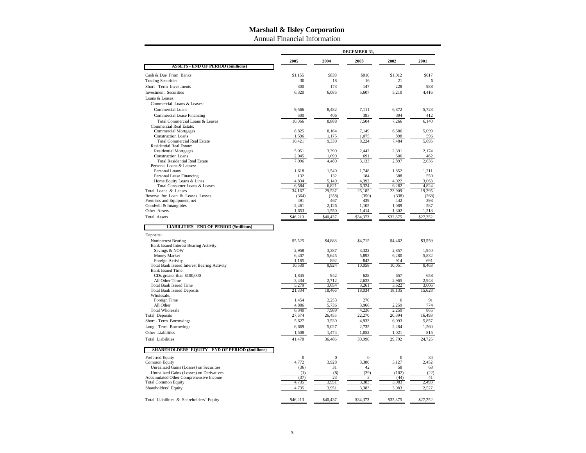Annual Financial Information

|                                                                              |                 |                 | DECEMBER 31,    |                  |                |
|------------------------------------------------------------------------------|-----------------|-----------------|-----------------|------------------|----------------|
|                                                                              | 2005            | 2004            | 2003            | 2002             | 2001           |
| <b>ASSETS - END OF PERIOD (\$millions)</b>                                   |                 |                 |                 |                  |                |
| Cash & Due From Banks                                                        | \$1.155         | \$839           | \$810           | \$1,012          | \$617          |
| <b>Trading Securities</b>                                                    | 30              | 18              | 16              | 21               | 6              |
| Short - Term Investments                                                     | 300             | 173             | 147             | 228              | 988            |
| <b>Investment Securities</b>                                                 | 6,320           | 6,085           | 5,607           | 5,210            | 4,416          |
| Loans & Leases:                                                              |                 |                 |                 |                  |                |
| Commercial Loans & Leases:                                                   |                 |                 |                 |                  |                |
| <b>Commercial Loans</b>                                                      | 9.566           | 8.482           | 7.111           | 6.872            | 5,728          |
| Commercial Lease Financing                                                   | 500             | 406             | 393             | 394              | 412            |
| Total Commercial Loans & Leases<br><b>Commercial Real Estate:</b>            | 10,066          | 8.888           | 7.504           | 7,266            | 6,140          |
| <b>Commercial Mortgages</b>                                                  | 8,825           | 8,164           | 7,149           | 6,586            | 5,099          |
| <b>Construction Loans</b>                                                    | 1,596           | 1,175           | 1,075           | 898              | 596            |
| <b>Total Commercial Real Estate</b>                                          | 10,421          | 9,339           | 8,224           | 7,484            | 5,695          |
| <b>Residential Real Estate:</b><br><b>Residential Mortgages</b>              | 5,051           | 3.399           | 2.442           | 2.391            | 2.174          |
| <b>Construction Loans</b>                                                    | 2,045           | 1,090           | 691             | 506              | 462            |
| <b>Total Residential Real Estate</b>                                         | 7,096           | 4,489           | 3,133           | 2,897            | 2,636          |
| Personal Loans & Leases:                                                     |                 |                 |                 |                  |                |
| Personal Loans                                                               | 1,618           | 1,540           | 1,748           | 1,852            | 1,211          |
| Personal Lease Financing                                                     | 132             | 132             | 184             | 388              | 550            |
| Home Equity Loans & Lines<br>Total Consumer Loans & Leases                   | 4,834<br>6,584  | 5,149<br>6,821  | 4.392<br>6,324  | 4.022<br>6,262   | 3,063<br>4,824 |
| Total Loans & Leases                                                         | 34,167          | 29,537          | 25,185          | 23,909           | 19,295         |
| Reserve for Loan & Leases Losses                                             | (364)           | (358)           | (350)           | (338)            | (268)          |
| Premises and Equipment, net                                                  | 491             | 467             | 439             | 442              | 393            |
| Goodwill & Intangibles                                                       | 2,461           | 2,126           | 1,105           | 1,089            | 587            |
| Other Assets                                                                 | 1,653           | 1,550           | 1,414           | 1,302            | 1,218          |
| <b>Total Assets</b>                                                          | \$46,213        | \$40,437        | \$34,373        | \$32,875         | \$27,252       |
| <b>LIABILITIES - END OF PERIOD (\$millions)</b>                              |                 |                 |                 |                  |                |
| Deposits:                                                                    |                 | \$4,888         | \$4,715         | \$4,462          | \$3,559        |
| Noninterest Bearing<br>Bank Issued Interest Bearing Activity:                | \$5,525         |                 |                 |                  |                |
| Savings & NOW                                                                | 2,958           | 3,387           | 3,322           | 2,857            | 1,940          |
| Money Market                                                                 | 6,407           | 5,645           | 5,893           | 6,280            | 5,832          |
| Foreign Activity                                                             | 1,165           | 892             | 843             | 914              | 691            |
| <b>Total Bank Issued Interest Bearing Activity</b>                           | 10,530          | 9,924           | 10,058          | 10,051           | 8,463          |
| <b>Bank Issued Time:</b>                                                     |                 |                 |                 |                  |                |
| CDs greater than \$100,000<br>All Other Time                                 | 1,845<br>3,434  | 942<br>2,712    | 628<br>2,633    | 657<br>2,965     | 658<br>2,948   |
| <b>Total Bank Issued Time</b>                                                | 5.279           | 3.654           | 3.261           | 3.622            | 3.606          |
| <b>Total Bank Issued Deposits</b>                                            | 21.334          | 18.466          | 18.034          | 18.135           | 15.628         |
| Wholesale:                                                                   |                 |                 |                 |                  |                |
| Foreign Time                                                                 | 1,454           | 2,253           | 270             | $\boldsymbol{0}$ | 91             |
| All Other                                                                    | 4,886           | 5,736           | 3,966           | 2,259            | 774            |
| <b>Total Wholesale</b><br><b>Total Deposits</b>                              | 6,340<br>27,674 | 7,989<br>26,455 | 4,236<br>22,270 | 2,259<br>20.394  | 865<br>16.493  |
| Short - Term Borrowings                                                      | 5,627           | 3,530           | 4,933           | 6,093            | 5,857          |
| Long - Term Borrowings                                                       | 6,669           | 5,027           | 2,735           | 2,284            | 1,560          |
| Other Liabilities                                                            | 1,508           | 1,474           | 1,052           | 1,021            | 815            |
| <b>Total Liabilities</b>                                                     | 41,478          | 36,486          | 30,990          | 29,792           | 24,725         |
|                                                                              |                 |                 |                 |                  |                |
| <b>SHAREHOLDERS' EQUITY - END OF PERIOD (\$millions)</b><br>Preferred Equity | $\overline{0}$  | $\overline{0}$  | $\mathbf{0}$    | $\overline{0}$   | 34             |
| <b>Common Equity</b>                                                         | 4,772           | 3,928           | 3,380           | 3,127            | 2,452          |
| Unrealized Gains (Losses) on Securities                                      | (36)            | 31              | 42              | 58               | 63             |
| Unrealized Gains (Losses) on Derivatives                                     | (1)             | (8)             | (39)            | (102)            | (22)           |
| Accumulated Other Comprehensive Income                                       | (37)            | 23              | 3               | (44)             | 41             |
| <b>Total Common Equity</b>                                                   | 4,735           | 3,951           | 3,383           | 3,083            | 2,493          |
| Shareholders' Equity                                                         | 4,735           | 3.951           | 3,383           | 3.083            | 2,527          |
| Total Liabilities & Shareholders' Equity                                     | \$46,213        | \$40,437        | \$34,373        | \$32,875         | \$27,252       |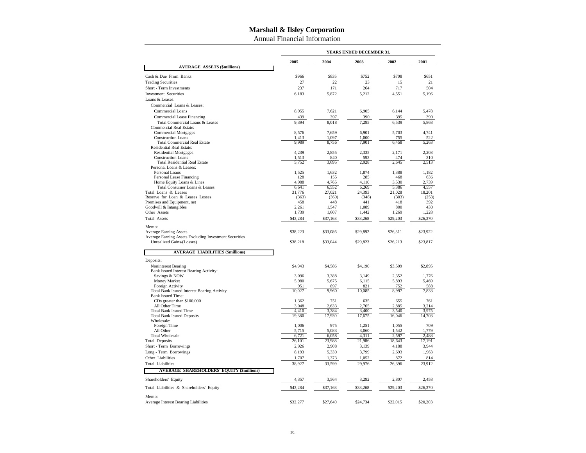Annual Financial Information

|                                                                                |                |                | YEARS ENDED DECEMBER 31, |                |              |
|--------------------------------------------------------------------------------|----------------|----------------|--------------------------|----------------|--------------|
|                                                                                | 2005           | 2004           | 2003                     | 2002           | 2001         |
| <b>AVERAGE ASSETS (\$millions)</b>                                             |                |                |                          |                |              |
| Cash & Due From Banks                                                          | \$966          | \$835          | \$752                    | \$708          | \$651        |
| <b>Trading Securities</b>                                                      | 27             | 22             | 23                       | 15             | 21           |
| Short - Term Investments                                                       | 237            | 171            | 264                      | 717            | 504          |
| <b>Investment Securities</b>                                                   | 6,183          | 5,872          | 5,212                    | 4,551          | 5,196        |
| Loans & Leases:                                                                |                |                |                          |                |              |
| Commercial Loans & Leases:                                                     |                |                |                          |                |              |
| <b>Commercial Loans</b>                                                        | 8.955          | 7.621          | 6.905                    | 6.144          | 5.478        |
| Commercial Lease Financing                                                     | 439            | 397            | 390                      | 395            | 390          |
| Total Commercial Loans & Leases                                                | 9.394          | 8.018          | 7,295                    | 6,539          | 5,868        |
| <b>Commercial Real Estate:</b><br><b>Commercial Mortgages</b>                  | 8,576          | 7,659          | 6,901                    | 5,703          | 4,741        |
| <b>Construction Loans</b>                                                      | 1,413          | 1,097          | 1,000                    | 755            | 522          |
| <b>Total Commercial Real Estate</b>                                            | 9,989          | 8,756          | 7,901                    | 6,458          | 5,263        |
| Residential Real Estate:                                                       |                |                |                          |                |              |
| <b>Residential Mortgages</b>                                                   | 4,239          | 2,855          | 2,335                    | 2,171          | 2,203        |
| <b>Construction Loans</b>                                                      | 1,513          | 840            | 593                      | 474            | 310          |
| <b>Total Residential Real Estate</b><br>Personal Loans & Leases:               | 5,752          | 3,695          | 2,928                    | 2,645          | 2,513        |
| Personal Loans                                                                 | 1,525          | 1,632          | 1,874                    | 1,388          | 1,182        |
| Personal Lease Financing                                                       | 128            | 155            | 285                      | 468            | 636          |
| Home Equity Loans & Lines                                                      | 4,988          | 4,765          | 4,110                    | 3,530          | 2,739        |
| Total Consumer Loans & Leases                                                  | 6,641          | 6,552          | 6,269                    | 5,386          | 4,557        |
| Total Loans & Leases                                                           | 31,776         | 27,021         | 24,393                   | 21,028         | 18,201       |
| Reserve for Loan & Leases Losses                                               | (363)          | (360)          | (348)                    | (303)          | (253)        |
| Premises and Equipment, net                                                    | 458            | 448            | 441                      | 418            | 392          |
| Goodwill & Intangibles<br>Other Assets                                         | 2,261<br>1,739 | 1,547<br>1,607 | 1,089<br>1,442           | 800<br>1,269   | 430<br>1,228 |
| <b>Total Assets</b>                                                            | \$43,284       | \$37,163       | \$33,268                 | \$29,203       | \$26,370     |
|                                                                                |                |                |                          |                |              |
| Memo:<br><b>Average Earning Assets</b>                                         | \$38,223       | \$33,086       | \$29,892                 | \$26,311       | \$23,922     |
| Average Earning Assets Excluding Investment Securities                         |                |                |                          |                |              |
| Unrealized Gains/(Losses)                                                      | \$38,218       | \$33,044       | \$29,823                 | \$26,213       | \$23,817     |
| <b>AVERAGE LIABILITIES (\$millions)</b>                                        |                |                |                          |                |              |
| Deposits:                                                                      |                |                |                          |                |              |
| Noninterest Bearing                                                            | \$4,943        | \$4,586        | \$4,190                  | \$3,509        | \$2,895      |
| Bank Issued Interest Bearing Activity:                                         |                |                |                          |                |              |
| Savings & NOW                                                                  | 3,096          | 3,388          | 3,149                    | 2,352          | 1,776        |
| Money Market                                                                   | 5,980          | 5,675          | 6,115                    | 5,893          | 5,469        |
| Foreign Activity                                                               | 951            | 897            | 821                      | 752            | 588          |
| <b>Total Bank Issued Interest Bearing Activity</b><br><b>Bank Issued Time:</b> | 10,027         | 9,960          | 10,085                   | 8,997          | 7,833        |
| CDs greater than \$100,000                                                     | 1,362          | 751            | 635                      | 655            | 761          |
| All Other Time                                                                 | 3,048          | 2,633          | 2,765                    | 2,885          | 3,214        |
| <b>Total Bank Issued Time</b>                                                  | 4,410          | 3,384          | 3,400                    | 3,540          | 3,975        |
| <b>Total Bank Issued Deposits</b>                                              | 19,380         | 17,930         | 17,675                   | 16,046         | 14,703       |
| Wholesale:                                                                     |                | 975            |                          |                | 709          |
| Foreign Time<br>All Other                                                      | 1,006<br>5,715 | 5,083          | 1,251<br>3,060           | 1,055<br>1,542 | 1,779        |
| <b>Total Wholesale</b>                                                         | 6,721          | 6,058          | 4,311                    | 2,597          | 2,488        |
| <b>Total Deposits</b>                                                          | 26,101         | 23,988         | 21,986                   | 18,643         | 17.191       |
| Short - Term Borrowings                                                        | 2,926          | 2,908          | 3,139                    | 4,188          | 3,944        |
| Long - Term Borrowings                                                         | 8,193          | 5,330          | 3,799                    | 2,693          | 1,963        |
| Other Liabilities                                                              | 1,707          | 1,373          | 1,052                    | 872            | 814          |
| <b>Total Liabilities</b>                                                       | 38,927         | 33,599         | 29,976                   | 26,396         | 23,912       |
| <b>AVERAGE SHAREHOLDERS' EQUITY (\$millions)</b>                               |                |                |                          |                |              |
| Shareholders' Equity                                                           | 4,357          | 3,564          | 3,292                    | 2,807          | 2,458        |
| Total Liabilities & Shareholders' Equity                                       | \$43,284       | \$37,163       | \$33,268                 | \$29,203       | \$26,370     |
| Memo:                                                                          |                |                |                          |                |              |
| Average Interest Bearing Liabilities                                           | \$32,277       | \$27,640       | \$24,734                 | \$22,015       | \$20,203     |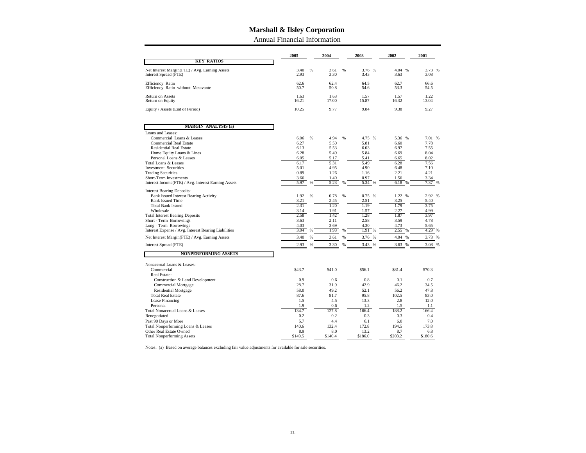Annual Financial Information

|                                                                            | 2005          |   | 2004          |   | 2003          | 2002          | 2001          |
|----------------------------------------------------------------------------|---------------|---|---------------|---|---------------|---------------|---------------|
| <b>KEY RATIOS</b>                                                          |               |   |               |   |               |               |               |
| Net Interest Margin(FTE) / Avg. Earning Assets                             | 3.40          | % | 3.61          | % | 3.76<br>%     | 4.04 %        | 3.73<br>%     |
| Interest Spread (FTE)                                                      | 2.93          |   | 3.30          |   | 3.43          | 3.63          | 3.08          |
| Efficiency Ratio<br>Efficiency Ratio without Metavante                     | 62.6<br>50.7  |   | 62.4<br>50.8  |   | 64.5<br>54.6  | 62.7<br>53.3  | 66.6<br>54.5  |
| Return on Assets<br>Return on Equity                                       | 1.63<br>16.21 |   | 1.63<br>17.00 |   | 1.57<br>15.87 | 1.57<br>16.32 | 1.22<br>13.04 |
| Equity / Assets (End of Period)                                            | 10.25         |   | 9.77          |   | 9.84          | 9.38          | 9.27          |
| <b>MARGIN ANALYSIS (a)</b>                                                 |               |   |               |   |               |               |               |
| Loans and Leases:                                                          |               |   |               |   |               |               |               |
| Commercial Loans & Leases                                                  | 6.06          | % | 4.94          | % | 4.75 %        | 5.36 %        | 7.01 %        |
| <b>Commercial Real Estate</b>                                              | 6.27          |   | 5.50          |   | 5.81          | 6.60          | 7.78          |
| <b>Residential Real Estate</b>                                             | 6.13          |   | 5.53          |   | 6.03          | 6.97          | 7.55          |
| Home Equity Loans & Lines                                                  | 6.28          |   | 5.49          |   | 5.84          | 6.69          | 8.04          |
| Personal Loans & Leases                                                    | 6.05          |   | 5.17          |   | 5.41<br>5.49  | 6.65          | 8.02          |
| Total Loans & Leases<br><b>Investment Securities</b>                       | 6.17<br>5.01  |   | 5.31<br>4.95  |   | 4.90          | 6.28<br>6.48  | 7.56<br>7.10  |
| <b>Trading Securities</b>                                                  | 0.89          |   | 1.26          |   | 1.16          | 2.21          | 4.21          |
| Short-Term Investments                                                     | 3.66          |   | 1.40          |   | 0.97          | 1.56          | 3.34          |
| Interest Income(FTE) / Avg. Interest Earning Assets                        | 5.97          | % | 5.23          | % | 5.34<br>%     | 6.18<br>%     | 7.37<br>%     |
|                                                                            |               |   |               |   |               |               |               |
| <b>Interest Bearing Deposits:</b><br>Bank Issued Interest Bearing Activity | 1.92          | % | 0.78          | % | 0.75%         | 1.22 %        | 2.92 %        |
| <b>Bank Issued Time</b>                                                    | 3.21          |   | 2.45          |   | 2.51          | 3.25          | 5.40          |
| <b>Total Bank Issued</b>                                                   | 2.31          |   | 1.20          |   | 1.19          | 1.79          | 3.75          |
| Wholesale                                                                  | 3.14          |   | 1.91          |   | 1.57          | 2.27          | 4.99          |
| <b>Total Interest Bearing Deposits</b>                                     | 2.58          |   | 1.42          |   | 1.28          | 1.87          | 3.97          |
| Short - Term Borrowings                                                    | 3.63          |   | 2.11          |   | 2.58          | 3.59          | 4.78          |
| Long - Term Borrowings                                                     | 4.03          |   | 3.69          |   | 4.30          | 4.73          | 5.65          |
| Interest Expense / Avg. Interest Bearing Liabilities                       | 3.04          | % | 1.93          | % | 1.91<br>%     | 2.55          | 4.29<br>%     |
| Net Interest Margin(FTE) / Avg. Earning Assets                             | 3.40          | % | 3.61          | % | 3.76<br>%     | 4.04          | 3.73 %        |
| Interest Spread (FTE)                                                      | 2.93          | % | 3.30          | % | 3.43 %        | 3.63 %        | 3.08 %        |
| <b>NONPERFORMING ASSETS</b>                                                |               |   |               |   |               |               |               |
| Nonaccrual Loans & Leases:                                                 |               |   |               |   |               |               |               |
| Commercial                                                                 | \$43.7        |   | \$41.0        |   | \$56.1        | \$81.4        | \$70.3        |
| Real Estate:                                                               |               |   |               |   |               |               |               |
| Construction & Land Development                                            | 0.9           |   | 0.6           |   | 0.8           | 0.1           | 0.7           |
| <b>Commercial Mortgage</b>                                                 | 28.7          |   | 31.9          |   | 42.9          | 46.2          | 34.5          |
| <b>Residential Mortgage</b>                                                | 58.0          |   | 49.2          |   | 52.1          | 56.2          | 47.8          |
| <b>Total Real Estate</b>                                                   | 87.6          |   | 81.7          |   | 95.8          | 102.5         | 83.0          |
| Lease Financing                                                            | 1.5           |   | 4.5           |   | 13.3          | 2.8           | 12.0          |
| Personal                                                                   | 1.9<br>134.7  |   | 0.6           |   | 1.2           | 1.5           | 1.1           |
| Total Nonaccrual Loans & Leases                                            | 0.2           |   | 127.8<br>0.2  |   | 166.4<br>0.3  | 188.2<br>0.3  | 166.4         |
| Renegotiated                                                               |               |   |               |   |               |               | 0.4           |
| Past 90 Days or More                                                       | 5.7<br>140.6  |   | 4.4<br>132.4  |   | 6.1<br>172.8  | 6.0<br>194.5  | 7.0<br>173.8  |
| Total Nonperforming Loans & Leases<br>Other Real Estate Owned              | 8.9           |   | 8.0           |   | 13.2          | 8.7           | 6.8           |
| <b>Total Nonperforming Assets</b>                                          | \$149.5       |   | \$140.4       |   | \$186.0       | \$203.2       | \$180.6       |
|                                                                            |               |   |               |   |               |               |               |

Notes: (a) Based on average balances excluding fair value adjustments for available for sale securities.